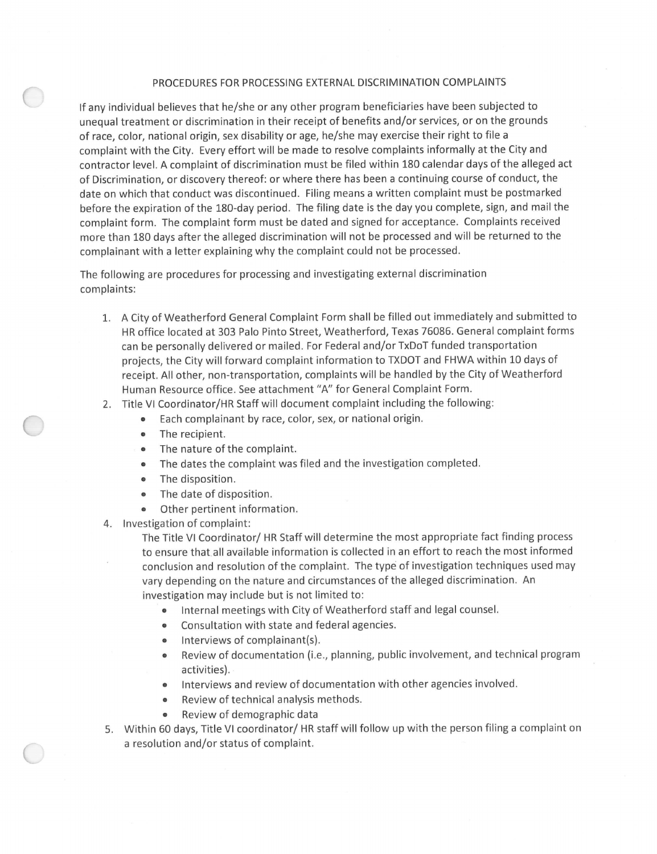## PROCEDURES FOR PROCESSING EXTERNAL DISCRIMINATION COMPLAINTS

If any individual believes that he/she or any other program beneficiaries have been subjected to unequal treatment or discrimination in their receipt of benefits and/or services, or on the grounds of race, color, national origin, sex disability or age, he/she may exercise their right to file a complaint with the City. Every effort will be made to resolve complaints informally at the City and contractor level. A complaint of discrimination must be filed within 180 calendar days of the alleged act of Discrimination, or discovery thereof: or where there has been a continuing course of conduct, the date on which that conduct was discontinued. Filing means a written complaint must be postmarked before the expiration of the 180-day period. The filing date is the day you complete, sign, and mail the complaint form. The complaint form must be dated and signed for acceptance. Complaints received more than 180 days after the alleged discrimination will not be processed and will be returned to the complainant with a letter explaining why the complaint could not be processed.

The following are procedures for processing and investigating external discrimination complaints :

- 1. A City of Weatherford General Complaint Form shall be filled out immediately and submitted to HR office located at 303 Palo Pinto Street, Weatherford, Texas 76086. General complaint forms can be personally delivered or mailed. For Federal and/or TxDoT funded transportation projects, the City will forward complaint information to TXDOT and FHWA within 10 days of receipt. All other, non-transportation, complaints will be handled by the City of Weatherford Human Resource office. See attachment "A" for General Complaint Form.
- 2. Title VI Coordinator/HR Staff will document complaint including the following:
	- Each complainant by race, color, sex, or national origin.
	- The recipient.
	- The nature of the complaint.
	- The dates the complaint was filed and the investigation completed.
	- The disposition.
	- The date of disposition.
	- Other pertinent information.
- 4. Investigation of complaint:

The Title VI Coordinator/ HR Staff will determine the most appropriate fact finding process to ensure that, all available information is collected in an effort to reach the most informed conclusion and resolution of the complaint. The type of investigation techniques used may vary depending on the nature and circumstances of the alleged discrimination. An investigation may include but is not limited to:

- Internal meetings with City of Weatherford staff and legal counsel.
- Consultation with state and federal agencies.
- $\bullet$  Interviews of complainant(s).
- Review of documentation (i.e., planning, public involvement, and technical program activities) .
- Interviews and review of documentation with other agencies involved.
- Review of technical analysis methods.
- Review of demographic data
- 5. Within 60 days, Title VI coordinator/ HR staff will follow up with the person filing a complaint on a resolution and/or status of complaint.